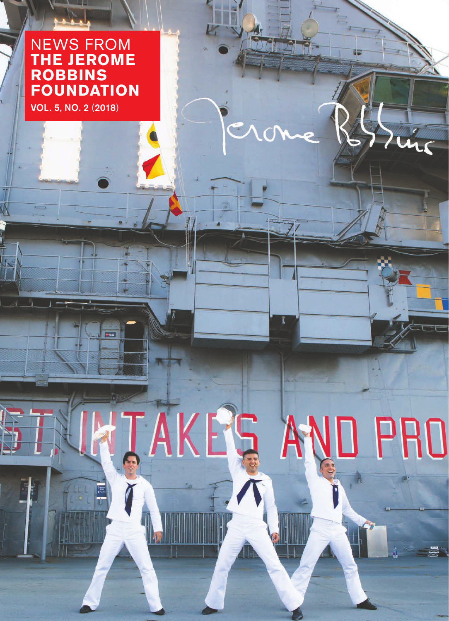## NEWS FROM **THE JEROME ROBBINS FOUNDATION**

Ess

TAKEG.

rung

AND PRO

VOL. 5, NO. 2 (2018)